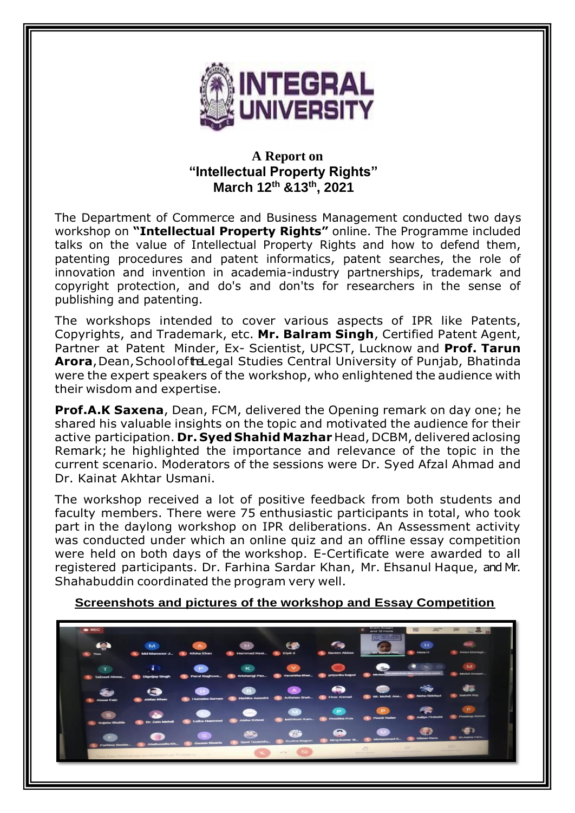

## **A Report on "Intellectual Property Rights" March 12th &13th , 2021**

The Department of Commerce and Business Management conducted two days workshop on **"Intellectual Property Rights"** online. The Programme included talks on the value of Intellectual Property Rights and how to defend them, patenting procedures and patent informatics, patent searches, the role of innovation and invention in academia-industry partnerships, trademark and copyright protection, and do's and don'ts for researchers in the sense of publishing and patenting.

The workshops intended to cover various aspects of IPR like Patents, Copyrights, and Trademark, etc. **Mr. Balram Singh**, Certified Patent Agent, Partner at Patent Minder, Ex- Scientist, UPCST, Lucknow and **Prof. Tarun Arora**, Dean, School of the Legal Studies Central University of Punjab, Bhatinda were the expert speakers of the workshop, who enlightened the audience with their wisdom and expertise.

**Prof.A.K Saxena**, Dean, FCM, delivered the Opening remark on day one; he shared his valuable insights on the topic and motivated the audience for their active participation. **Dr. Syed Shahid Mazhar** Head, DCBM, delivered a closing Remark; he highlighted the importance and relevance of the topic in the current scenario. Moderators of the sessions were Dr. Syed Afzal Ahmad and Dr. Kainat Akhtar Usmani.

The workshop received a lot of positive feedback from both students and faculty members. There were 75 enthusiastic participants in total, who took part in the daylong workshop on IPR deliberations. An Assessment activity was conducted under which an online quiz and an offline essay competition were held on both days of the workshop. E-Certificate were awarded to all registered participants. Dr. Farhina Sardar Khan, Mr. Ehsanul Haque, and Mr. Shahabuddin coordinated the program very well.

**Screenshots and pictures of the workshop and Essay Competition**